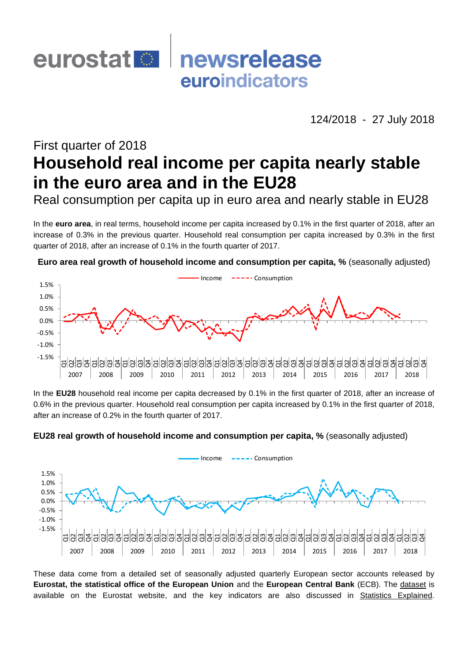

124/2018 - 27 July 2018

# First quarter of 2018 **Household real income per capita nearly stable in the euro area and in the EU28**

Real consumption per capita up in euro area and nearly stable in EU28

In the **euro area**, in real terms, household income per capita increased by 0.1% in the first quarter of 2018, after an increase of 0.3% in the previous quarter. Household real consumption per capita increased by 0.3% in the first quarter of 2018, after an increase of 0.1% in the fourth quarter of 2017.

**Euro area real growth of household income and consumption per capita, %** (seasonally adjusted)



In the **EU28** household real income per capita decreased by 0.1% in the first quarter of 2018, after an increase of 0.6% in the previous quarter. Household real consumption per capita increased by 0.1% in the first quarter of 2018, after an increase of 0.2% in the fourth quarter of 2017.





These data come from a detailed set of seasonally adjusted quarterly European sector accounts released by **Eurostat, the statistical office of the European Union** and the **European Central Bank** (ECB). The [dataset](http://ec.europa.eu/eurostat/web/sector-accounts/data/database) is available on the Eurostat website, and the key indicators are also discussed in [Statistics Explained.](http://ec.europa.eu/eurostat/statistics-explained/index.php/Category:Sector_accounts)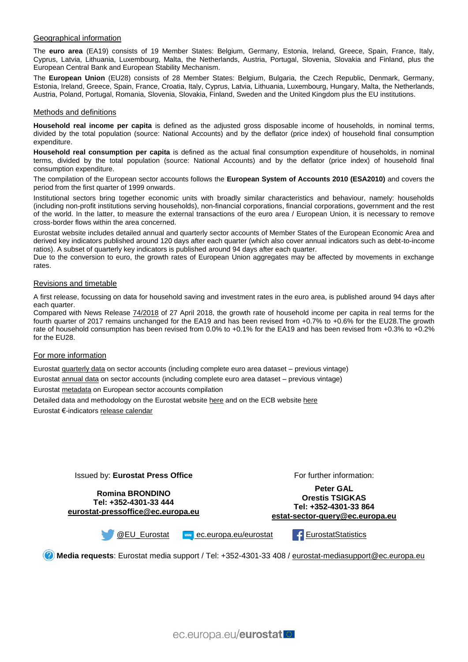## Geographical information

The **euro area** (EA19) consists of 19 Member States: Belgium, Germany, Estonia, Ireland, Greece, Spain, France, Italy, Cyprus, Latvia, Lithuania, Luxembourg, Malta, the Netherlands, Austria, Portugal, Slovenia, Slovakia and Finland, plus the European Central Bank and European Stability Mechanism.

The **European Union** (EU28) consists of 28 Member States: Belgium, Bulgaria, the Czech Republic, Denmark, Germany, Estonia, Ireland, Greece, Spain, France, Croatia, Italy, Cyprus, Latvia, Lithuania, Luxembourg, Hungary, Malta, the Netherlands, Austria, Poland, Portugal, Romania, Slovenia, Slovakia, Finland, Sweden and the United Kingdom plus the EU institutions.

#### Methods and definitions

**Household real income per capita** is defined as the adjusted gross disposable income of households, in nominal terms, divided by the total population (source: National Accounts) and by the deflator (price index) of household final consumption expenditure.

**Household real consumption per capita** is defined as the actual final consumption expenditure of households, in nominal terms, divided by the total population (source: National Accounts) and by the deflator (price index) of household final consumption expenditure.

The compilation of the European sector accounts follows the **European System of Accounts 2010 (ESA2010)** and covers the period from the first quarter of 1999 onwards.

Institutional sectors bring together economic units with broadly similar characteristics and behaviour, namely: households (including non-profit institutions serving households), non-financial corporations, financial corporations, government and the rest of the world. In the latter, to measure the external transactions of the euro area / European Union, it is necessary to remove cross-border flows within the area concerned.

Eurostat website includes detailed annual and quarterly sector accounts of Member States of the European Economic Area and derived key indicators published around 120 days after each quarter (which also cover annual indicators such as debt-to-income ratios). A subset of quarterly key indicators is published around 94 days after each quarter.

Due to the conversion to euro, the growth rates of European Union aggregates may be affected by movements in exchange rates.

#### Revisions and timetable

A first release, focussing on data for household saving and investment rates in the euro area, is published around 94 days after each quarter.

Compared with News Release [74/2018](http://ec.europa.eu/eurostat/documents/2995521/8837704/2-27042018-AP-EN.pdf/219a2433-8e04-4c7f-af46-4195bc500823) of 27 April 2018, the growth rate of household income per capita in real terms for the fourth quarter of 2017 remains unchanged for the EA19 and has been revised from +0.7% to +0.6% for the EU28.The growth rate of household consumption has been revised from 0.0% to +0.1% for the EA19 and has been revised from +0.3% to +0.2% for the EU28.

### For more information

Eurosta[t quarterly data](http://ec.europa.eu/eurostat/web/sector-accounts/data/quarterly-data) on sector accounts (including complete euro area dataset – previous vintage)

Eurostat [annual data](http://ec.europa.eu/eurostat/web/sector-accounts/data/annual-data) on sector accounts (including complete euro area dataset – previous vintage)

Eurostat [metadata](http://ec.europa.eu/eurostat/cache/metadata/en/nasq_10_nf_tr_esms.htm) on European sector accounts compilation

Detailed data and methodology on the Eurostat website [here](http://ec.europa.eu/eurostat/sectoraccounts) and on the ECB website [here](http://www.ecb.eu/stats/acc/html/index.en.html)

Eurostat €-indicator[s release calendar](http://ec.europa.eu/eurostat/news/release-calendar)

Issued by: **Eurostat Press Office**

**Romina BRONDINO Tel: +352-4301-33 444 [eurostat-pressoffice@ec.europa.eu](mailto:eurostat-pressoffice@ec.europa.eu)** For further information:

**Peter GAL Orestis TSIGKAS Tel: +352-4301-33 864 [estat-sector-query@ec.europa.eu](mailto:estat-sector-query@ec.europa.eu)**



[@EU\\_Eurostat](https://twitter.com/EU_Eurostat) **EXADELER** [ec.europa.eu/eurostat](http://ec.europa.eu/eurostat) FurnostatStatistics

**Media requests**: Eurostat media support / Tel: +352-4301-33 408 / [eurostat-mediasupport@ec.europa.eu](mailto:eurostat-mediasupport@ec.europa.eu)